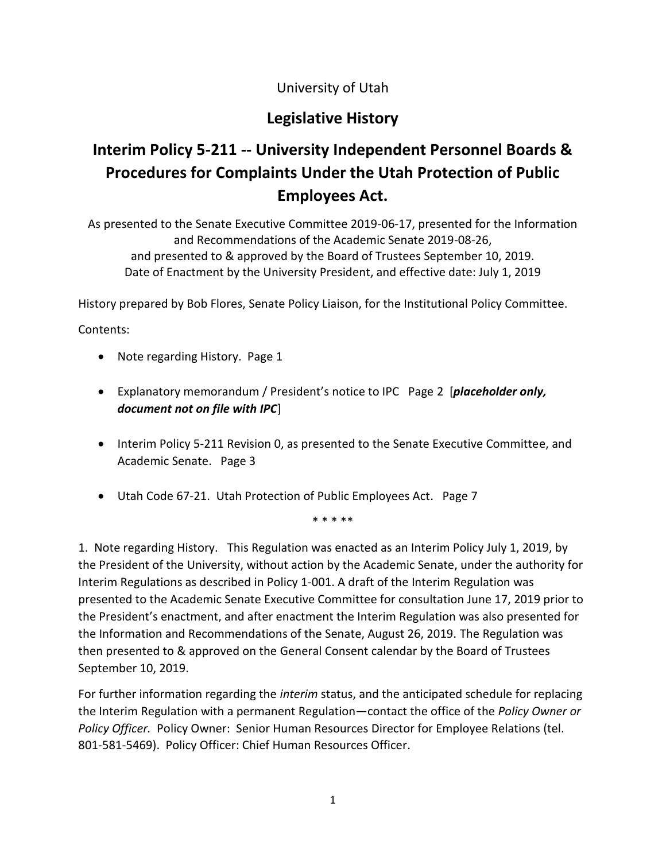## University of Utah

# **Legislative History**

# **Interim Policy 5-211 -- University Independent Personnel Boards & Procedures for Complaints Under the Utah Protection of Public Employees Act.**

As presented to the Senate Executive Committee 2019-06-17, presented for the Information and Recommendations of the Academic Senate 2019-08-26, and presented to & approved by the Board of Trustees September 10, 2019. Date of Enactment by the University President, and effective date: July 1, 2019

History prepared by Bob Flores, Senate Policy Liaison, for the Institutional Policy Committee.

Contents:

- Note regarding History. Page 1
- Explanatory memorandum / President's notice to IPC Page 2 [*placeholder only, document not on file with IPC*]
- Interim Policy 5-211 Revision 0, as presented to the Senate Executive Committee, and Academic Senate. Page 3
- Utah Code 67-21. Utah Protection of Public Employees Act. Page 7

\* \* \* \*\*

1. Note regarding History. This Regulation was enacted as an Interim Policy July 1, 2019, by the President of the University, without action by the Academic Senate, under the authority for Interim Regulations as described in Policy 1-001. A draft of the Interim Regulation was presented to the Academic Senate Executive Committee for consultation June 17, 2019 prior to the President's enactment, and after enactment the Interim Regulation was also presented for the Information and Recommendations of the Senate, August 26, 2019. The Regulation was then presented to & approved on the General Consent calendar by the Board of Trustees September 10, 2019.

For further information regarding the *interim* status, and the anticipated schedule for replacing the Interim Regulation with a permanent Regulation—contact the office of the *Policy Owner or Policy Officer.* Policy Owner: Senior Human Resources Director for Employee Relations (tel. 801-581-5469). Policy Officer: Chief Human Resources Officer.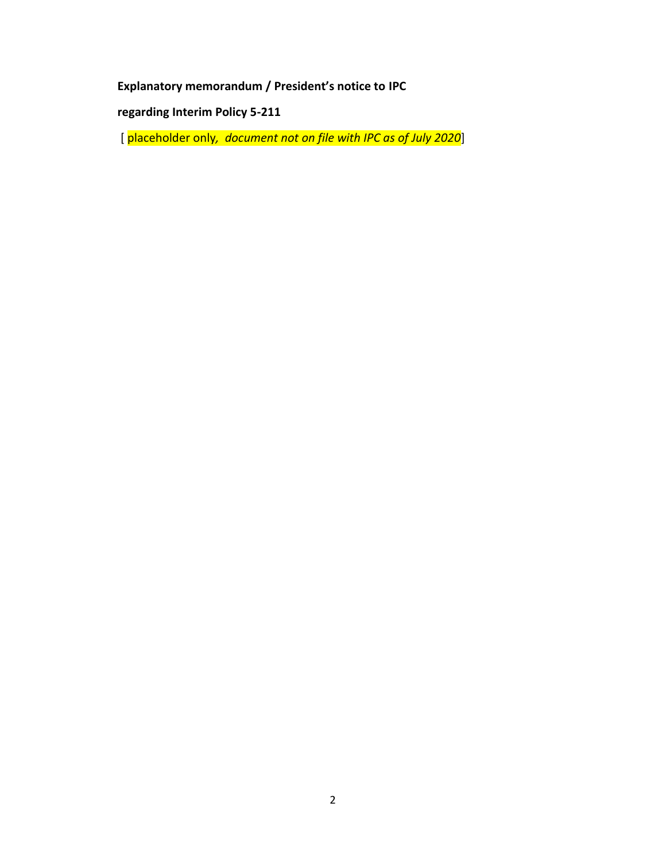**Explanatory memorandum / President's notice to IPC** 

**regarding Interim Policy 5-211**

[ placeholder only*, document not on file with IPC as of July 2020*]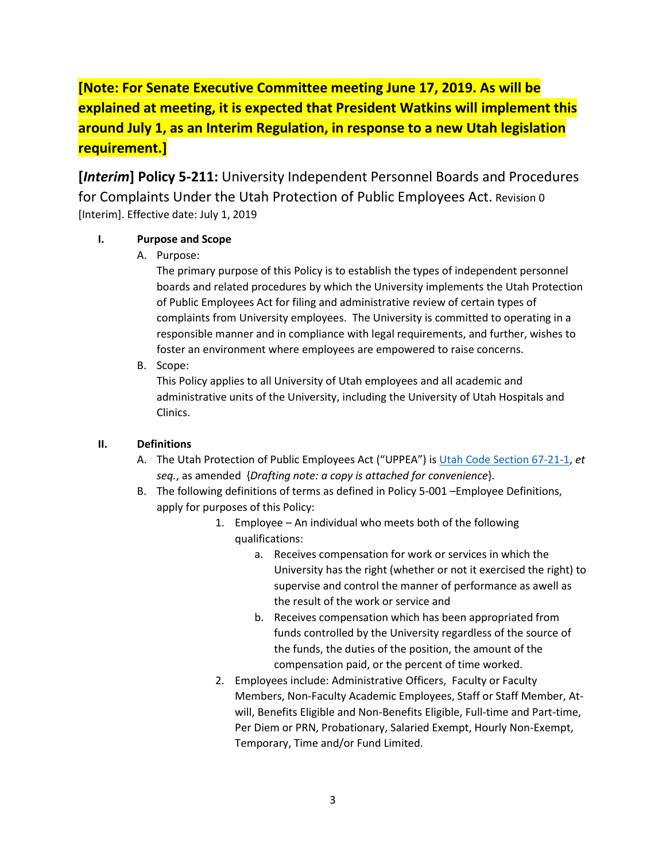# **[Note: For Senate Executive Committee meeting June 17, 2019. As will be explained at meeting, it is expected that President Watkins will implement this around July 1, as an Interim Regulation, in response to a new Utah legislation requirement.]**

**[***Interim***] Policy 5-211:** University Independent Personnel Boards and Procedures for Complaints Under the Utah Protection of Public Employees Act. Revision 0 [Interim]. Effective date: July 1, 2019

#### **I. Purpose and Scope**

A. Purpose:

The primary purpose of this Policy is to establish the types of independent personnel boards and related procedures by which the University implements the Utah Protection of Public Employees Act for filing and administrative review of certain types of complaints from University employees. The University is committed to operating in a responsible manner and in compliance with legal requirements, and further, wishes to foster an environment where employees are empowered to raise concerns.

B. Scope:

This Policy applies to all University of Utah employees and all academic and administrative units of the University, including the University of Utah Hospitals and Clinics.

#### **II. Definitions**

- A. The Utah Protection of Public Employees Act ("UPPEA") is [Utah Code Section 67-21-1,](https://le.utah.gov/xcode/Title67/Chapter21/67-21.html) *et seq.*, as amended {*Drafting note: a copy is attached for convenience*}.
- B. The following definitions of terms as defined in Policy 5-001 –Employee Definitions, apply for purposes of this Policy:
	- 1. Employee An individual who meets both of the following qualifications:
		- a. Receives compensation for work or services in which the University has the right (whether or not it exercised the right) to supervise and control the manner of performance as awell as the result of the work or service and
		- b. Receives compensation which has been appropriated from funds controlled by the University regardless of the source of the funds, the duties of the position, the amount of the compensation paid, or the percent of time worked.
	- 2. Employees include: Administrative Officers, Faculty or Faculty Members, Non-Faculty Academic Employees, Staff or Staff Member, Atwill, Benefits Eligible and Non-Benefits Eligible, Full-time and Part-time, Per Diem or PRN, Probationary, Salaried Exempt, Hourly Non-Exempt, Temporary, Time and/or Fund Limited.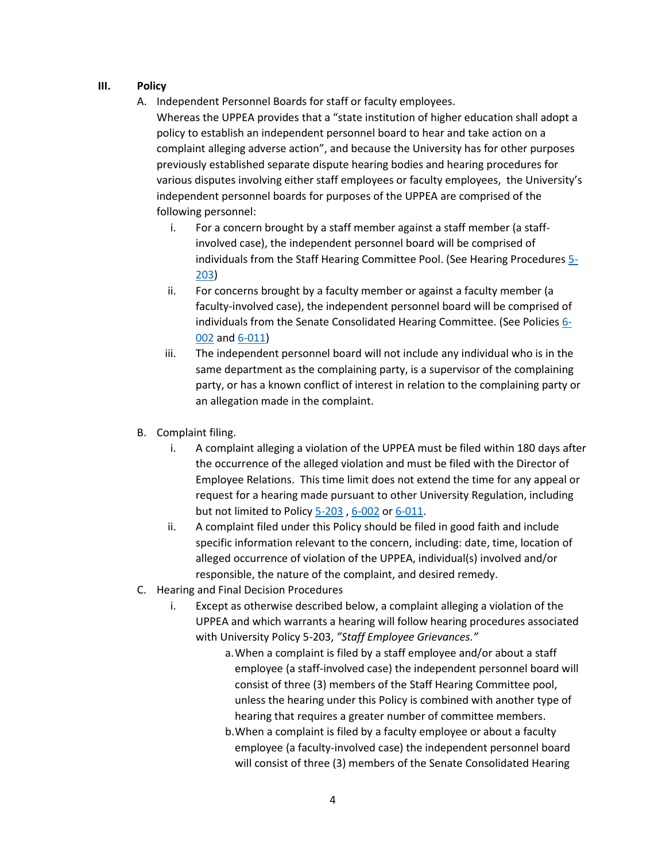#### **III. Policy**

A. Independent Personnel Boards for staff or faculty employees.

Whereas the UPPEA provides that a "state institution of higher education shall adopt a policy to establish an independent personnel board to hear and take action on a complaint alleging adverse action", and because the University has for other purposes previously established separate dispute hearing bodies and hearing procedures for various disputes involving either staff employees or faculty employees, the University's independent personnel boards for purposes of the UPPEA are comprised of the following personnel:

- i. For a concern brought by a staff member against a staff member (a staffinvolved case), the independent personnel board will be comprised of individuals from the Staff Hearing Committee Pool. (See Hearing Procedure[s 5-](https://regulations.utah.edu/human-resources/appendices_5/5-203Pro.pdf) [203\)](https://regulations.utah.edu/human-resources/appendices_5/5-203Pro.pdf)
- ii. For concerns brought by a faculty member or against a faculty member (a faculty-involved case), the independent personnel board will be comprised of individuals from the Senate Consolidated Hearing Committee. (See Policies [6-](https://regulations.utah.edu/academics/6-002.php) [002](https://regulations.utah.edu/academics/6-002.php) an[d 6-011\)](https://regulations.utah.edu/academics/6-011.php)
- iii. The independent personnel board will not include any individual who is in the same department as the complaining party, is a supervisor of the complaining party, or has a known conflict of interest in relation to the complaining party or an allegation made in the complaint.
- B. Complaint filing.
	- i. A complaint alleging a violation of the UPPEA must be filed within 180 days after the occurrence of the alleged violation and must be filed with the Director of Employee Relations. This time limit does not extend the time for any appeal or request for a hearing made pursuant to other University Regulation, including but not limited to Policy [5-203](https://regulations.utah.edu/human-resources/5-203.php) , [6-002](https://regulations.utah.edu/academics/6-002.php) o[r 6-011.](https://regulations.utah.edu/academics/6-011.php)
	- ii. A complaint filed under this Policy should be filed in good faith and include specific information relevant to the concern, including: date, time, location of alleged occurrence of violation of the UPPEA, individual(s) involved and/or responsible, the nature of the complaint, and desired remedy.
- C. Hearing and Final Decision Procedures
	- i. Except as otherwise described below, a complaint alleging a violation of the UPPEA and which warrants a hearing will follow hearing procedures associated with University Policy 5-203, *"Staff Employee Grievances."*
		- a.When a complaint is filed by a staff employee and/or about a staff employee (a staff-involved case) the independent personnel board will consist of three (3) members of the Staff Hearing Committee pool, unless the hearing under this Policy is combined with another type of hearing that requires a greater number of committee members.
		- b.When a complaint is filed by a faculty employee or about a faculty employee (a faculty-involved case) the independent personnel board will consist of three (3) members of the Senate Consolidated Hearing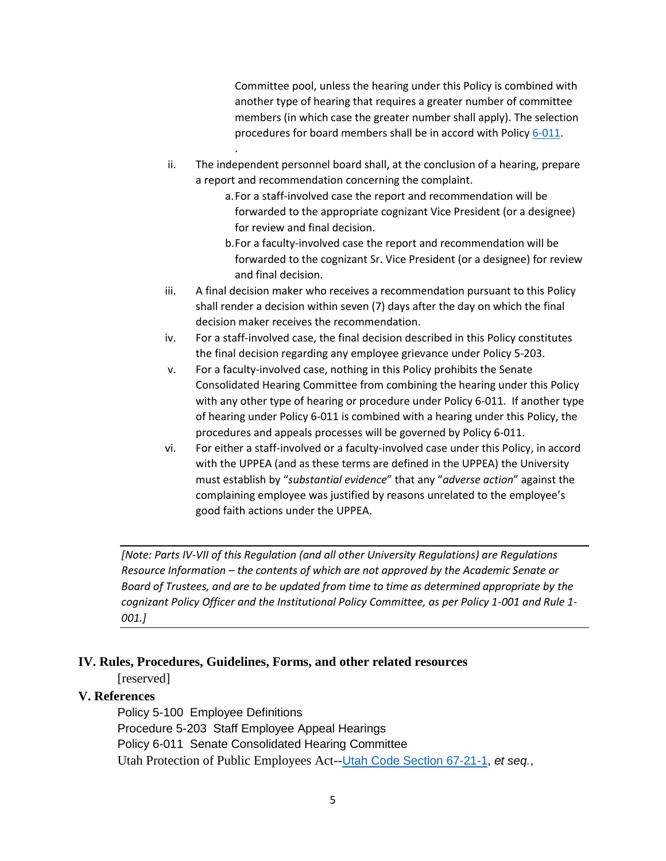Committee pool, unless the hearing under this Policy is combined with another type of hearing that requires a greater number of committee members (in which case the greater number shall apply). The selection procedures for board members shall be in accord with Polic[y 6-011.](https://regulations.utah.edu/academics/6-011.php)

- ii. The independent personnel board shall, at the conclusion of a hearing, prepare a report and recommendation concerning the complaint.
	- a.For a staff-involved case the report and recommendation will be forwarded to the appropriate cognizant Vice President (or a designee) for review and final decision.
	- b.For a faculty-involved case the report and recommendation will be forwarded to the cognizant Sr. Vice President (or a designee) for review and final decision.
- iii. A final decision maker who receives a recommendation pursuant to this Policy shall render a decision within seven (7) days after the day on which the final decision maker receives the recommendation.
- iv. For a staff-involved case, the final decision described in this Policy constitutes the final decision regarding any employee grievance under Policy 5-203.
- v. For a faculty-involved case, nothing in this Policy prohibits the Senate Consolidated Hearing Committee from combining the hearing under this Policy with any other type of hearing or procedure under Policy 6-011. If another type of hearing under Policy 6-011 is combined with a hearing under this Policy, the procedures and appeals processes will be governed by Policy 6-011.
- vi. For either a staff-involved or a faculty-involved case under this Policy, in accord with the UPPEA (and as these terms are defined in the UPPEA) the University must establish by "*substantial evidence*" that any "*adverse action*" against the complaining employee was justified by reasons unrelated to the employee's good faith actions under the UPPEA.

*[Note: Parts IV-VII of this Regulation (and all other University Regulations) are Regulations Resource Information – the contents of which are not approved by the Academic Senate or Board of Trustees, and are to be updated from time to time as determined appropriate by the cognizant Policy Officer and the Institutional Policy Committee, as per Policy 1-001 and Rule 1- 001.]*

#### **IV. Rules, Procedures, Guidelines, Forms, and other related resources**

.

[reserved]

#### **V. References**

Policy 5-100 Employee Definitions Procedure 5-203 Staff Employee Appeal Hearings Policy 6-011 Senate Consolidated Hearing Committee Utah Protection of Public Employees Act--[Utah Code Section 67-21-1,](https://le.utah.gov/xcode/Title67/Chapter21/67-21.html) *et seq.*,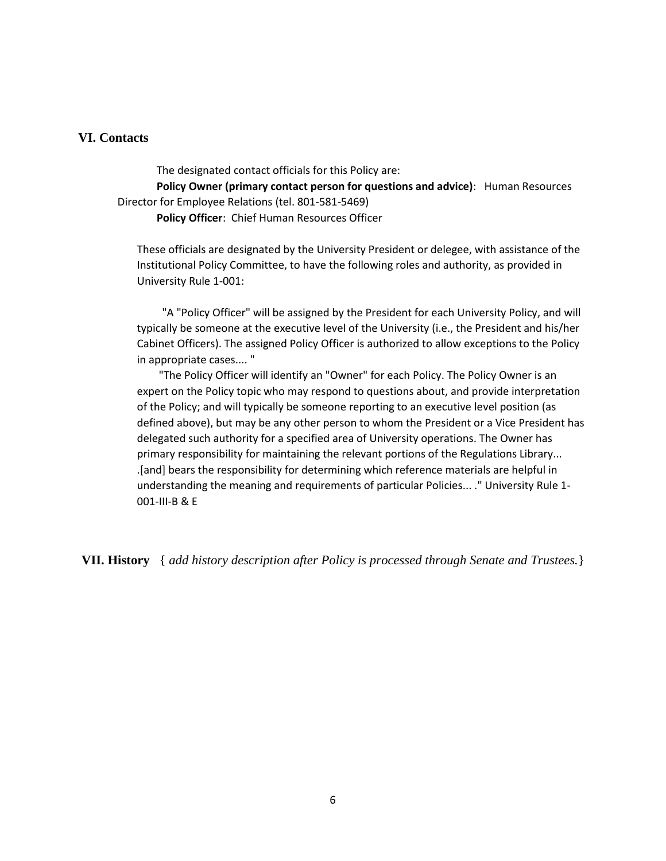#### **VI. Contacts**

The designated contact officials for this Policy are:

**Policy Owner (primary contact person for questions and advice)**: Human Resources Director for Employee Relations (tel. 801-581-5469)

**Policy Officer**: Chief Human Resources Officer

These officials are designated by the University President or delegee, with assistance of the Institutional Policy Committee, to have the following roles and authority, as provided in University Rule 1-001:

 "A "Policy Officer" will be assigned by the President for each University Policy, and will typically be someone at the executive level of the University (i.e., the President and his/her Cabinet Officers). The assigned Policy Officer is authorized to allow exceptions to the Policy in appropriate cases.... "

 "The Policy Officer will identify an "Owner" for each Policy. The Policy Owner is an expert on the Policy topic who may respond to questions about, and provide interpretation of the Policy; and will typically be someone reporting to an executive level position (as defined above), but may be any other person to whom the President or a Vice President has delegated such authority for a specified area of University operations. The Owner has primary responsibility for maintaining the relevant portions of the Regulations Library... .[and] bears the responsibility for determining which reference materials are helpful in understanding the meaning and requirements of particular Policies... ." University Rule 1- 001-III-B & E

**VII. History** { *add history description after Policy is processed through Senate and Trustees.*}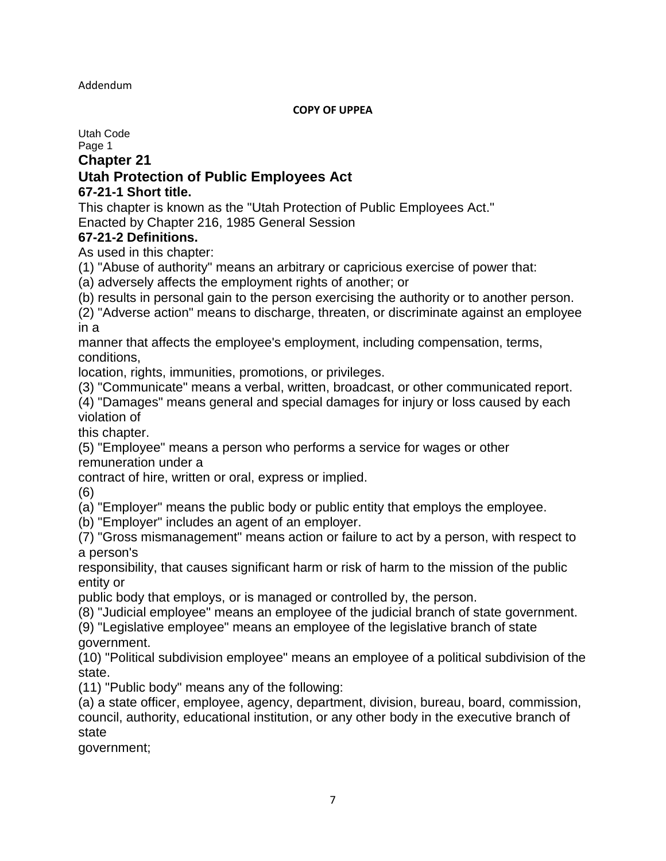#### Addendum

#### **COPY OF UPPEA**

Utah Code

Page 1

**Chapter 21**

## **Utah Protection of Public Employees Act**

#### **67-21-1 Short title.**

This chapter is known as the "Utah Protection of Public Employees Act." Enacted by Chapter 216, 1985 General Session

#### **67-21-2 Definitions.**

As used in this chapter:

(1) "Abuse of authority" means an arbitrary or capricious exercise of power that:

(a) adversely affects the employment rights of another; or

(b) results in personal gain to the person exercising the authority or to another person.

(2) "Adverse action" means to discharge, threaten, or discriminate against an employee in a

manner that affects the employee's employment, including compensation, terms, conditions,

location, rights, immunities, promotions, or privileges.

(3) "Communicate" means a verbal, written, broadcast, or other communicated report.

(4) "Damages" means general and special damages for injury or loss caused by each violation of

this chapter.

(5) "Employee" means a person who performs a service for wages or other remuneration under a

contract of hire, written or oral, express or implied.

(6)

(a) "Employer" means the public body or public entity that employs the employee.

(b) "Employer" includes an agent of an employer.

(7) "Gross mismanagement" means action or failure to act by a person, with respect to a person's

responsibility, that causes significant harm or risk of harm to the mission of the public entity or

public body that employs, or is managed or controlled by, the person.

(8) "Judicial employee" means an employee of the judicial branch of state government.

(9) "Legislative employee" means an employee of the legislative branch of state government.

(10) "Political subdivision employee" means an employee of a political subdivision of the state.

(11) "Public body" means any of the following:

(a) a state officer, employee, agency, department, division, bureau, board, commission, council, authority, educational institution, or any other body in the executive branch of state

government;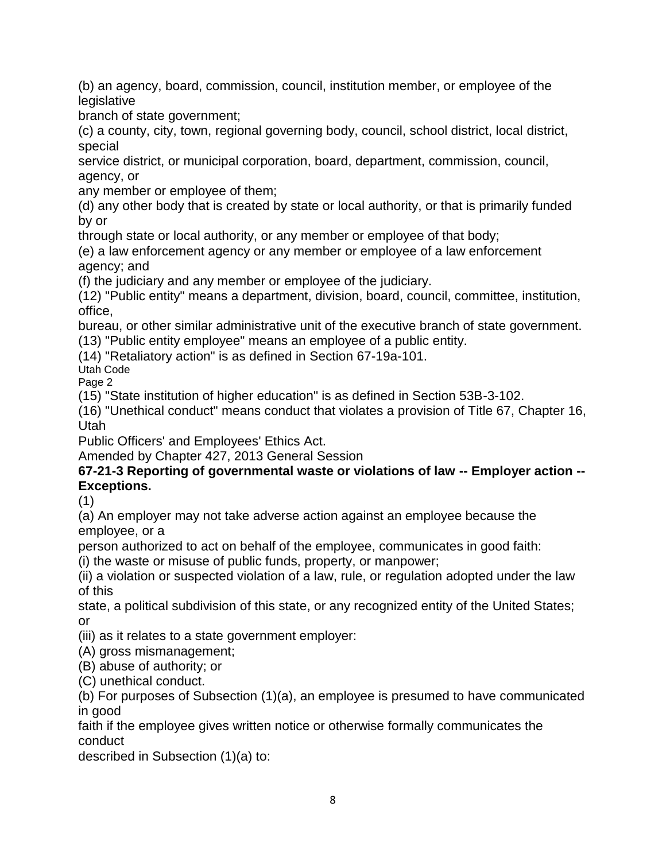(b) an agency, board, commission, council, institution member, or employee of the legislative

branch of state government;

(c) a county, city, town, regional governing body, council, school district, local district, special

service district, or municipal corporation, board, department, commission, council, agency, or

any member or employee of them;

(d) any other body that is created by state or local authority, or that is primarily funded by or

through state or local authority, or any member or employee of that body;

(e) a law enforcement agency or any member or employee of a law enforcement agency; and

(f) the judiciary and any member or employee of the judiciary.

(12) "Public entity" means a department, division, board, council, committee, institution, office,

bureau, or other similar administrative unit of the executive branch of state government.

(13) "Public entity employee" means an employee of a public entity.

(14) "Retaliatory action" is as defined in Section 67-19a-101.

Utah Code Page 2

(15) "State institution of higher education" is as defined in Section 53B-3-102.

(16) "Unethical conduct" means conduct that violates a provision of Title 67, Chapter 16, Utah

Public Officers' and Employees' Ethics Act.

Amended by Chapter 427, 2013 General Session

## **67-21-3 Reporting of governmental waste or violations of law -- Employer action -- Exceptions.**

(1)

(a) An employer may not take adverse action against an employee because the employee, or a

person authorized to act on behalf of the employee, communicates in good faith:

(i) the waste or misuse of public funds, property, or manpower;

(ii) a violation or suspected violation of a law, rule, or regulation adopted under the law of this

state, a political subdivision of this state, or any recognized entity of the United States; or

(iii) as it relates to a state government employer:

(A) gross mismanagement;

(B) abuse of authority; or

(C) unethical conduct.

(b) For purposes of Subsection (1)(a), an employee is presumed to have communicated in good

faith if the employee gives written notice or otherwise formally communicates the conduct

described in Subsection (1)(a) to: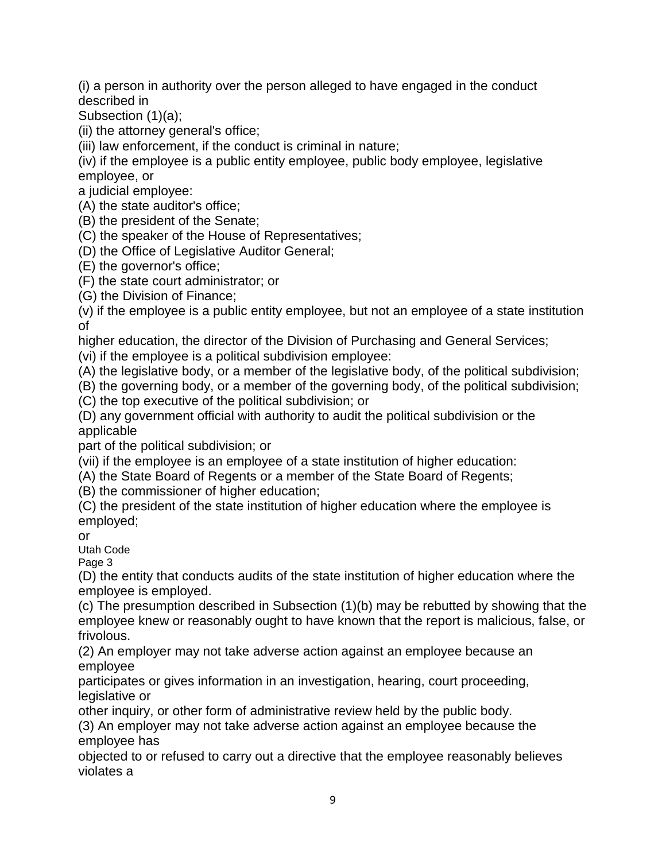(i) a person in authority over the person alleged to have engaged in the conduct described in

Subsection (1)(a);

(ii) the attorney general's office;

(iii) law enforcement, if the conduct is criminal in nature;

(iv) if the employee is a public entity employee, public body employee, legislative employee, or

a judicial employee:

(A) the state auditor's office;

(B) the president of the Senate;

(C) the speaker of the House of Representatives;

(D) the Office of Legislative Auditor General;

(E) the governor's office;

(F) the state court administrator; or

(G) the Division of Finance;

(v) if the employee is a public entity employee, but not an employee of a state institution of

higher education, the director of the Division of Purchasing and General Services;

(vi) if the employee is a political subdivision employee:

(A) the legislative body, or a member of the legislative body, of the political subdivision;

(B) the governing body, or a member of the governing body, of the political subdivision;

(C) the top executive of the political subdivision; or

(D) any government official with authority to audit the political subdivision or the applicable

part of the political subdivision; or

(vii) if the employee is an employee of a state institution of higher education:

(A) the State Board of Regents or a member of the State Board of Regents;

(B) the commissioner of higher education;

(C) the president of the state institution of higher education where the employee is employed;

or

Utah Code

Page 3

(D) the entity that conducts audits of the state institution of higher education where the employee is employed.

(c) The presumption described in Subsection (1)(b) may be rebutted by showing that the employee knew or reasonably ought to have known that the report is malicious, false, or frivolous.

(2) An employer may not take adverse action against an employee because an employee

participates or gives information in an investigation, hearing, court proceeding, legislative or

other inquiry, or other form of administrative review held by the public body.

(3) An employer may not take adverse action against an employee because the employee has

objected to or refused to carry out a directive that the employee reasonably believes violates a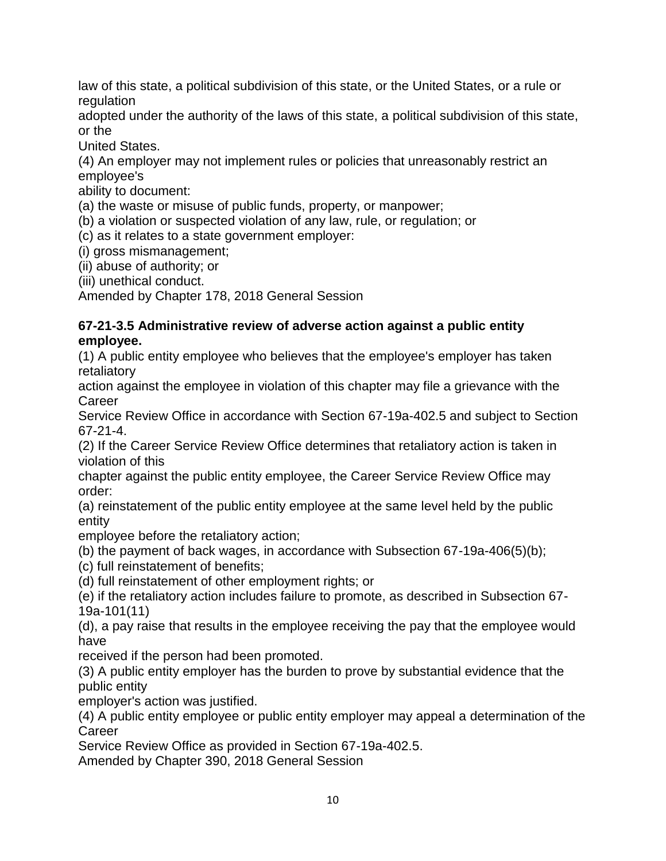law of this state, a political subdivision of this state, or the United States, or a rule or regulation

adopted under the authority of the laws of this state, a political subdivision of this state, or the

United States.

(4) An employer may not implement rules or policies that unreasonably restrict an employee's

ability to document:

(a) the waste or misuse of public funds, property, or manpower;

(b) a violation or suspected violation of any law, rule, or regulation; or

(c) as it relates to a state government employer:

(i) gross mismanagement;

(ii) abuse of authority; or

(iii) unethical conduct.

Amended by Chapter 178, 2018 General Session

#### **67-21-3.5 Administrative review of adverse action against a public entity employee.**

(1) A public entity employee who believes that the employee's employer has taken retaliatory

action against the employee in violation of this chapter may file a grievance with the **Career** 

Service Review Office in accordance with Section 67-19a-402.5 and subject to Section 67-21-4.

(2) If the Career Service Review Office determines that retaliatory action is taken in violation of this

chapter against the public entity employee, the Career Service Review Office may order:

(a) reinstatement of the public entity employee at the same level held by the public entity

employee before the retaliatory action;

(b) the payment of back wages, in accordance with Subsection 67-19a-406(5)(b);

- (c) full reinstatement of benefits;
- (d) full reinstatement of other employment rights; or

(e) if the retaliatory action includes failure to promote, as described in Subsection 67- 19a-101(11)

(d), a pay raise that results in the employee receiving the pay that the employee would have

received if the person had been promoted.

(3) A public entity employer has the burden to prove by substantial evidence that the public entity

employer's action was justified.

(4) A public entity employee or public entity employer may appeal a determination of the **Career** 

Service Review Office as provided in Section 67-19a-402.5.

Amended by Chapter 390, 2018 General Session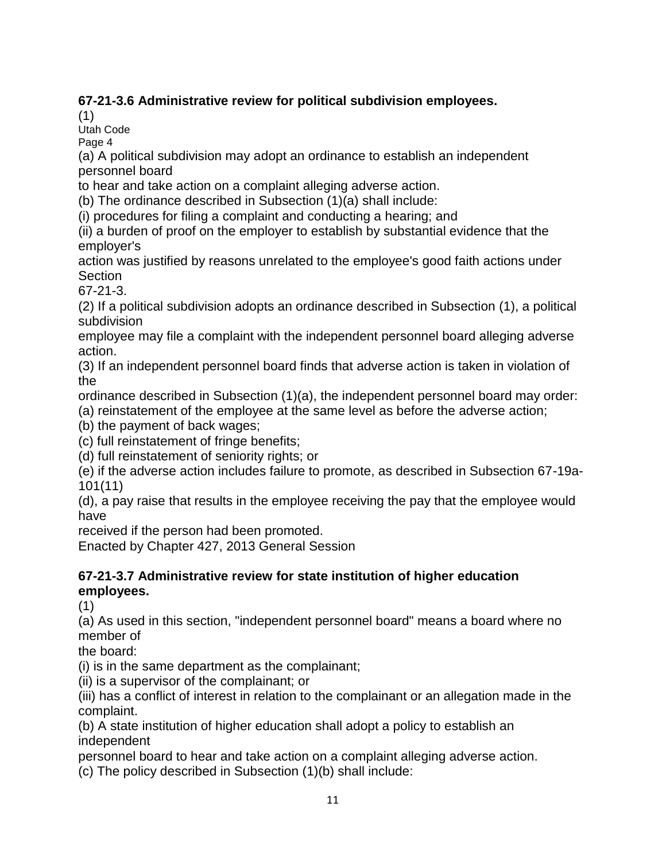# **67-21-3.6 Administrative review for political subdivision employees.**

(1)

Utah Code

Page 4

(a) A political subdivision may adopt an ordinance to establish an independent personnel board

to hear and take action on a complaint alleging adverse action.

(b) The ordinance described in Subsection (1)(a) shall include:

(i) procedures for filing a complaint and conducting a hearing; and

(ii) a burden of proof on the employer to establish by substantial evidence that the employer's

action was justified by reasons unrelated to the employee's good faith actions under **Section** 

67-21-3.

(2) If a political subdivision adopts an ordinance described in Subsection (1), a political subdivision

employee may file a complaint with the independent personnel board alleging adverse action.

(3) If an independent personnel board finds that adverse action is taken in violation of the

ordinance described in Subsection (1)(a), the independent personnel board may order:

(a) reinstatement of the employee at the same level as before the adverse action;

(b) the payment of back wages;

(c) full reinstatement of fringe benefits;

(d) full reinstatement of seniority rights; or

(e) if the adverse action includes failure to promote, as described in Subsection 67-19a-101(11)

(d), a pay raise that results in the employee receiving the pay that the employee would have

received if the person had been promoted.

Enacted by Chapter 427, 2013 General Session

## **67-21-3.7 Administrative review for state institution of higher education employees.**

(1)

(a) As used in this section, "independent personnel board" means a board where no member of

the board:

(i) is in the same department as the complainant;

(ii) is a supervisor of the complainant; or

(iii) has a conflict of interest in relation to the complainant or an allegation made in the complaint.

(b) A state institution of higher education shall adopt a policy to establish an independent

personnel board to hear and take action on a complaint alleging adverse action.

(c) The policy described in Subsection (1)(b) shall include: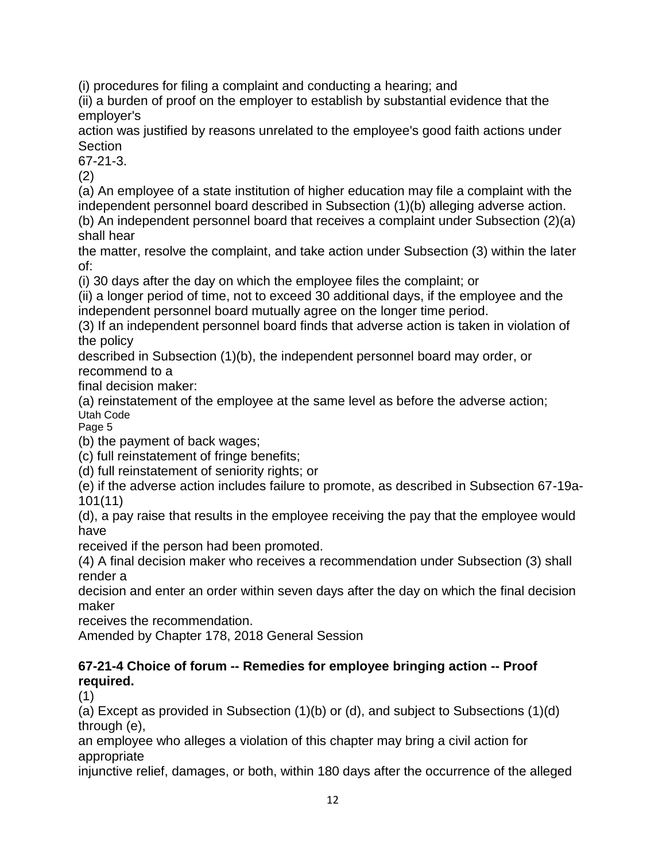(i) procedures for filing a complaint and conducting a hearing; and

(ii) a burden of proof on the employer to establish by substantial evidence that the employer's

action was justified by reasons unrelated to the employee's good faith actions under Section

67-21-3.

(2)

(a) An employee of a state institution of higher education may file a complaint with the independent personnel board described in Subsection (1)(b) alleging adverse action.

(b) An independent personnel board that receives a complaint under Subsection (2)(a) shall hear

the matter, resolve the complaint, and take action under Subsection (3) within the later of:

(i) 30 days after the day on which the employee files the complaint; or

(ii) a longer period of time, not to exceed 30 additional days, if the employee and the independent personnel board mutually agree on the longer time period.

(3) If an independent personnel board finds that adverse action is taken in violation of the policy

described in Subsection (1)(b), the independent personnel board may order, or recommend to a

final decision maker:

(a) reinstatement of the employee at the same level as before the adverse action; Utah Code

Page 5

(b) the payment of back wages;

(c) full reinstatement of fringe benefits;

(d) full reinstatement of seniority rights; or

(e) if the adverse action includes failure to promote, as described in Subsection 67-19a-101(11)

(d), a pay raise that results in the employee receiving the pay that the employee would have

received if the person had been promoted.

(4) A final decision maker who receives a recommendation under Subsection (3) shall render a

decision and enter an order within seven days after the day on which the final decision maker

receives the recommendation.

Amended by Chapter 178, 2018 General Session

## **67-21-4 Choice of forum -- Remedies for employee bringing action -- Proof required.**

(1)

(a) Except as provided in Subsection (1)(b) or (d), and subject to Subsections (1)(d) through (e),

an employee who alleges a violation of this chapter may bring a civil action for appropriate

injunctive relief, damages, or both, within 180 days after the occurrence of the alleged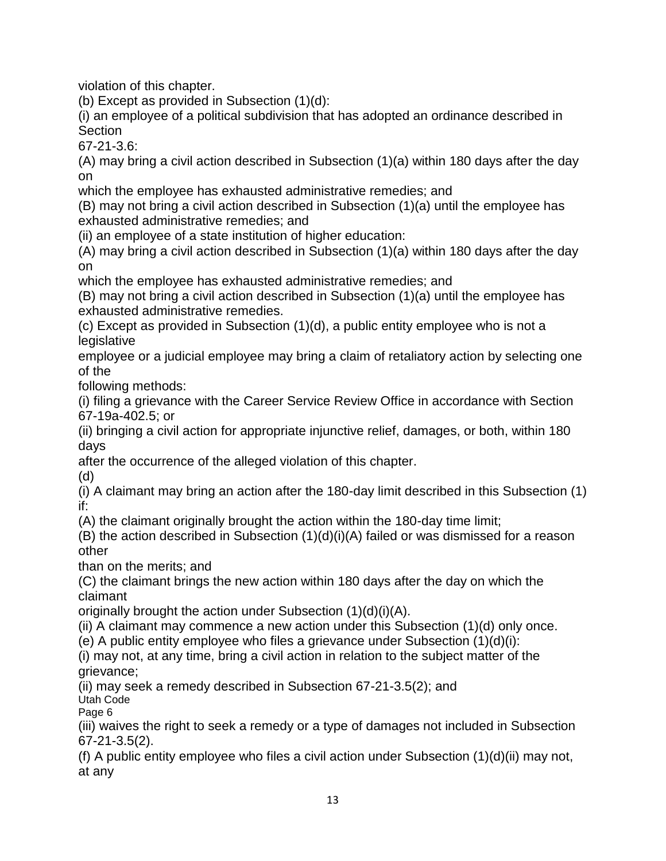violation of this chapter.

(b) Except as provided in Subsection (1)(d):

(i) an employee of a political subdivision that has adopted an ordinance described in **Section** 

67-21-3.6:

(A) may bring a civil action described in Subsection (1)(a) within 180 days after the day on

which the employee has exhausted administrative remedies; and

(B) may not bring a civil action described in Subsection (1)(a) until the employee has exhausted administrative remedies; and

(ii) an employee of a state institution of higher education:

(A) may bring a civil action described in Subsection (1)(a) within 180 days after the day on

which the employee has exhausted administrative remedies; and

(B) may not bring a civil action described in Subsection (1)(a) until the employee has exhausted administrative remedies.

(c) Except as provided in Subsection (1)(d), a public entity employee who is not a legislative

employee or a judicial employee may bring a claim of retaliatory action by selecting one of the

following methods:

(i) filing a grievance with the Career Service Review Office in accordance with Section 67-19a-402.5; or

(ii) bringing a civil action for appropriate injunctive relief, damages, or both, within 180 days

after the occurrence of the alleged violation of this chapter.

(d)

(i) A claimant may bring an action after the 180-day limit described in this Subsection (1) if:

(A) the claimant originally brought the action within the 180-day time limit;

(B) the action described in Subsection (1)(d)(i)(A) failed or was dismissed for a reason other

than on the merits; and

(C) the claimant brings the new action within 180 days after the day on which the claimant

originally brought the action under Subsection (1)(d)(i)(A).

(ii) A claimant may commence a new action under this Subsection (1)(d) only once.

(e) A public entity employee who files a grievance under Subsection (1)(d)(i):

(i) may not, at any time, bring a civil action in relation to the subject matter of the grievance;

(ii) may seek a remedy described in Subsection 67-21-3.5(2); and Utah Code

Page 6

(iii) waives the right to seek a remedy or a type of damages not included in Subsection 67-21-3.5(2).

(f) A public entity employee who files a civil action under Subsection  $(1)(d)(ii)$  may not, at any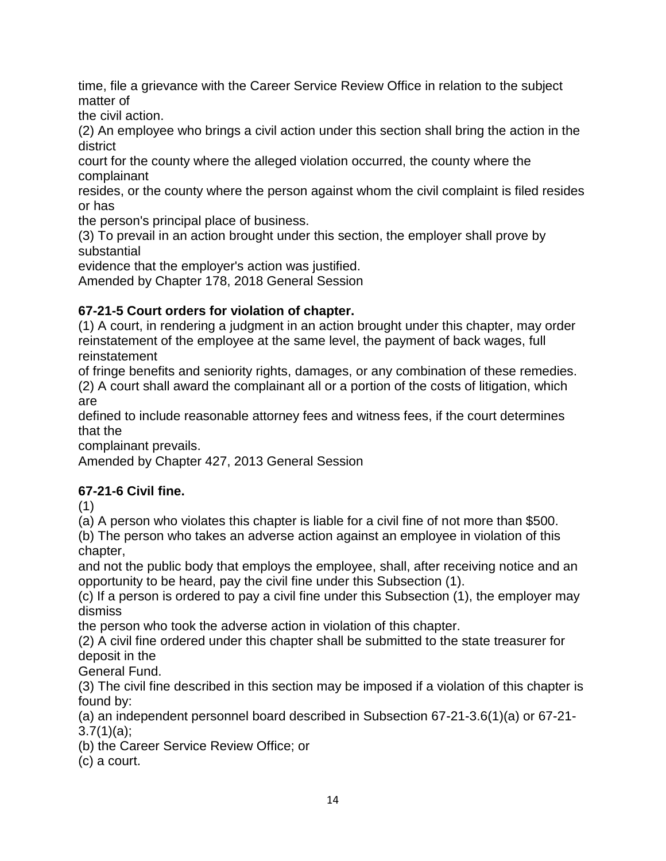time, file a grievance with the Career Service Review Office in relation to the subject matter of

the civil action.

(2) An employee who brings a civil action under this section shall bring the action in the district

court for the county where the alleged violation occurred, the county where the complainant

resides, or the county where the person against whom the civil complaint is filed resides or has

the person's principal place of business.

(3) To prevail in an action brought under this section, the employer shall prove by substantial

evidence that the employer's action was justified.

Amended by Chapter 178, 2018 General Session

# **67-21-5 Court orders for violation of chapter.**

(1) A court, in rendering a judgment in an action brought under this chapter, may order reinstatement of the employee at the same level, the payment of back wages, full reinstatement

of fringe benefits and seniority rights, damages, or any combination of these remedies. (2) A court shall award the complainant all or a portion of the costs of litigation, which are

defined to include reasonable attorney fees and witness fees, if the court determines that the

complainant prevails.

Amended by Chapter 427, 2013 General Session

# **67-21-6 Civil fine.**

(1)

(a) A person who violates this chapter is liable for a civil fine of not more than \$500.

(b) The person who takes an adverse action against an employee in violation of this chapter,

and not the public body that employs the employee, shall, after receiving notice and an opportunity to be heard, pay the civil fine under this Subsection (1).

(c) If a person is ordered to pay a civil fine under this Subsection (1), the employer may dismiss

the person who took the adverse action in violation of this chapter.

(2) A civil fine ordered under this chapter shall be submitted to the state treasurer for deposit in the

General Fund.

(3) The civil fine described in this section may be imposed if a violation of this chapter is found by:

(a) an independent personnel board described in Subsection 67-21-3.6(1)(a) or 67-21- 3.7(1)(a);

(b) the Career Service Review Office; or

(c) a court.